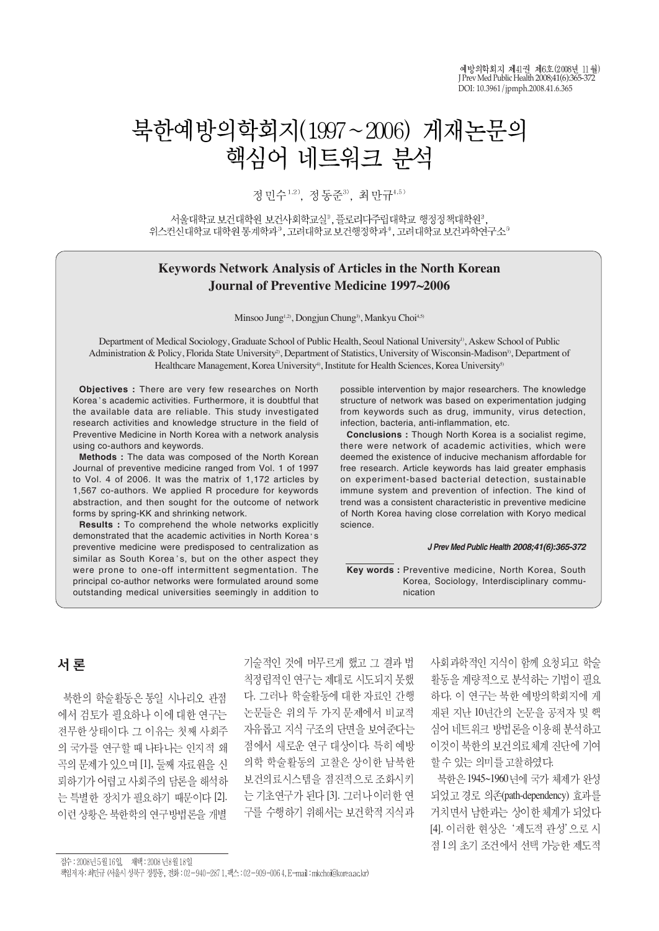예방의학회지 제41권 제6호 (2008년 11월)  $I$  Prev Med Public Health  $2008:41(6):365-$ DOI: 10.3961/jpmph.2008.41.6.365

# 북한예방의학회지(1997~2006) 게재논문의 핵심어 네트워크 뷰석

정민수<sup>1,2)</sup>, 정동주<sup>3)</sup>, 최만규4,5)

서울대학교 보건대학원 보건사회학교실<sup>0</sup>, 플로리다주립대학교 행정정책대학원<sup>3</sup> 위스컨신대학교 대학원 통계학과<sup>3</sup>, 고려대학교 보건행정학과<sup>4</sup>, 고려대학교 보건과학연구소<sup>5</sup>

## **Keywords Network Analysis of Articles in the North Korean Journal of Preventive Medicine 1997~2006**

Minsoo Jung<sup>1,2)</sup>, Dongjun Chung<sup>3)</sup>, Mankyu Choi<sup>4,5)</sup>

Department of Medical Sociology, Graduate School of Public Health, Seoul National University<sup>1)</sup>, Askew School of Public Administration & Policy, Florida State University<sup>2</sup>, Department of Statistics, University of Wisconsin-Madison<sup>3</sup>, Department of Healthcare Management, Korea University<sup>4)</sup>, Institute for Health Sciences, Korea University<sup>5)</sup>

**Objectives :** There are very few researches on North Korea's academic activities. Furthermore, it is doubtful that the available data are reliable. This study investigated research activities and knowledge structure in the field of Preventive Medicine in North Korea with a network analysis using co-authors and keywords.

**Methods :** The data was composed of the North Korean Journal of preventive medicine ranged from Vol. 1 of 1997 to Vol. 4 of 2006. It was the matrix of 1,172 articles by 1,567 co-authors. We applied R procedure for keywords abstraction, and then sought for the outcome of network forms by spring-KK and shrinking network.

**Results :** To comprehend the whole networks explicitly demonstrated that the academic activities in North Korea's preventive medicine were predisposed to centralization as similar as South Korea's, but on the other aspect they were prone to one-off intermittent segmentation. The principal co-author networks were formulated around some outstanding medical universities seemingly in addition to

possible intervention by major researchers. The knowledge structure of network was based on experimentation judging from keywords such as drug, immunity, virus detection, infection, bacteria, anti-inflammation, etc.

**Conclusions :** Though North Korea is a socialist regime, there were network of academic activities, which were deemed the existence of inducive mechanism affordable for free research. Article keywords has laid greater emphasis on experiment-based bacterial detection, sustainable immune system and prevention of infection. The kind of trend was a consistent characteristic in preventive medicine of North Korea having close correlation with Koryo medical science.

#### *J Prev Med Public Health 2008;41(6):365-372*

**Key words :** Preventive medicine, North Korea, South Korea, Sociology, Interdisciplinary communication

## 서 로

북한의 학술활동은 통일 시나리오 관점 에서 검토가 필요하나 이에 대한 연구는 전무한 상태이다. 그 이유는 첫째 사회주 의 국가를 여구할 때 나타나는 인지적 왜 곡의 문제가 있으며 [1], 둘째 자료원을 신 뢰하기가 어렵고 사회주의 담론을 해석하 는 특별한 장치가 필요하기 때문이다 [2]. 이런 상황은 북한학의 연구방법론을 개별

기술적인 것에 머무르게 했고 그 결과 법 칙정립적인 연구는 제대로 시도되지 못했 다. 그러나 학술활동에 대한 자료인 간행 논문들은 위의 두 가지 문제에서 비교적 자유롭고 지식 구조의 단면을 보여준다는 점에서 새로운 연구 대상이다. 특히 예방 의학 학술활동의 고찰은 상이한 남북한 보건의료시스템을 점진적으로 조화시키 는 기초연구가 된다 [3]. 그러나이러한 연 구를 수행하기 위해서는 보건학적 지식과

사회과학적인 지식이 함께 요청되고 학술 활동을 계량적으로 분석하는 기법이 필요 하다. 이 연구는 북한 예방의학회지에 게 재된 지난 10년간의 논문을 공저자 및 핵 심어 네트워크 방법론을 이용해 분석하고 이것이 북한의 보건의료체계 진단에 기여 할 수 있는 의미를 고찰하였다.

북한은 1945~1960년에 국가 체제가 완성 되었고 경로 의존(path-dependency) 효과를 거치면서 남한과는 상이한 체계가 되었다 [4]. 이러한 현상은 '제도적 관성'으로 시 점1의 초기 조건에서 선택 가능한 제도적

접수 : 2008년 5월 16일, - 채택 : 2008 년8월 18일

책임저자: 최민규 (서울시 성북구 정릉동, 전화: 02-940-2871,팩스: 02-909-006 4, E-mail : nkchoi@korea.ac.kr)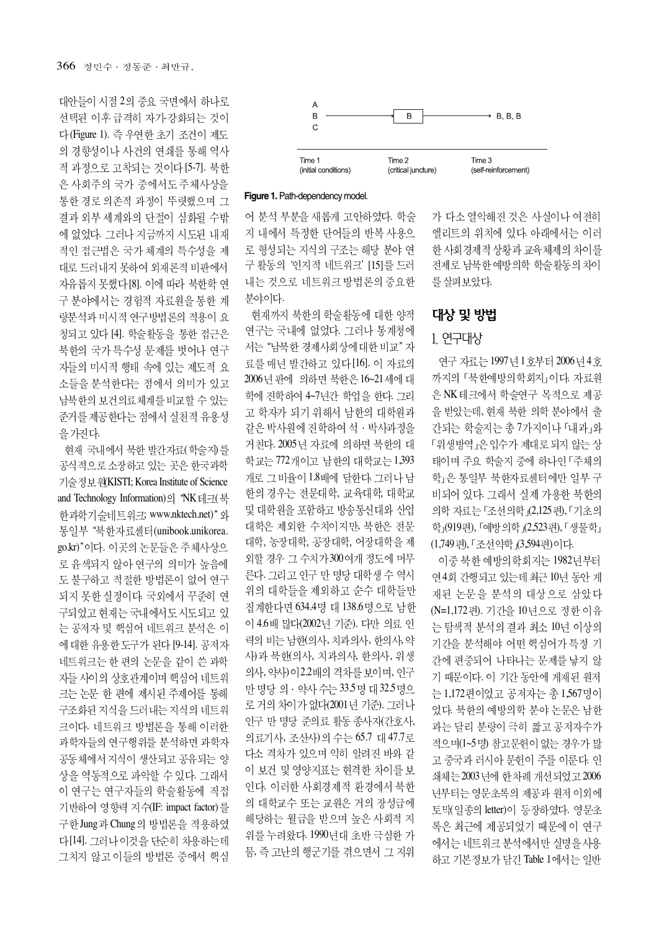대안들이 시점 2의 중요 국면에서 하나로 선택된 이후 급격히 자가-강화되는 것이 다 (Figure 1). 즉 우연한 초기 조건이 제도 의 경향성이나 사건의 연쇄를 통해 역사 적 과정으로 고착되는 것이다 [5-7]. 북한 은 사회주의 국가 중에서도 주체사상을 통한 경로 의존적 과정이 뚜렷했으며 그 결과 외부 세계와의 단절이 심화될 수밖 에 없었다. 그러나 지금까지 시도된 내재 적인 접근법은 국가 체계의 특수성을 제 대로 드러내지 못하여 외재론적 비판에서 자유롭지 못했다 [8]. 이에 따라 북한학 연 구 분야에서는 경험적 자료원을 통한 계 량분석과 미시적 연구방법론의 적용이 요 청되고 있다 [4]. 학술활동을 통한 접근은 북한의 국가 특수성 문제를 벗어나 연구 자들의 미시적 행태 속에 있는 제도적 요 소들을 분석한다는 점에서 의미가 있고 남북한의 보건의료체계를 비교할 수 있는 준거를 제공한다는 점에서 실천적 유용성 을 가진다.

현재 국내에서 북한 발가자료(학술지)를 공식적으로 소장하고 있는 곳은 한국과학 기술정보원(KISTI; Korea Institute of Science and Technology Information)의 "NK 테크(북 하과학기술네트워크; www.nktech.net)" 와 통일부 "북한자료센터(unibook.unikorea. go.kr)"이다. 이곳의 논문들은 주체사상으 로 윤색되지 않아 연구의 의미가 높음에 도 불구하고 적절한 방법론이 없어 연구 되지 못한 실정이다. 국외에서 꾸준히 연 구되었고 현재는 국내에서도 시도되고 있 는 공저자 및 핵심어 네트워크 분석은 이 에 대한 유용한 도구가 된다 [9-14]. 공저자 네트워크는 한 편의 논문을 같이 쓴 과학 자들 사이의 상호관계이며 핵심어 네트워 크는 논문 한 편에 제시된 주제어를 통해 구조화된 지식을 드러내는 지식의 네트워 크이다. 네트워크 방법론을 통해 이러한 과학자들의 연구행위를 분석하면 과학자 공동체에서 지식이 생산되고 공유되는 양 상을 역동적으로 파악할 수 있다. 그래서 이 연구는 연구자들의 학술활동에 직접 기반하여 영향력 지수(IF: impact factor)를 구한 Jung 과 Chung 의 방법론을 적용하였 다[14]. 그러나이것을 단순히 차용하는데 그치지 않고 이들의 방법론 중에서 핵심



#### **Figure 1.**Path-dependency model.

어 분석 부분을 새롭게 고안하였다. 학술 지 내에서 특정한 단어들의 반복 사용으 로 형성되는 지식의 구조는 해당 분야 연 구 활동의 '인지적 네트워크' [15]를 드러 내는 것으로 네트워크 방법론의 중요한 부야이다.

현재까지 북한의 학술활동에 대한 양적 연구는 국내에 없었다. 그러나 통계청에 서는 "남북한 경제사회상에 대한 비교" 자 료를 매년 발간하고 있다 [16]. 이 자료의 2006년 판에 의하면 북한은 16~21 세에 대 학에 진학하여 4~7년간 학업을 한다. 그리 고 학자가 되기 위해서 남한의 대학원과 같은 박사워에 진학하여 석 · 박사과정을 거친다. 2005년 자료에 의하면 북한의 대 학교는 772개이고 남한의 대학교는 1,393 개로 그 비율이 1.8배에 달하다. 그러나 남 한의 경우는 전문대학, 교육대학, 대학교 및 대학원을 포함하고 방송통신대와 산업 대학은 제외한 수치이지만, 북한은 전문 대학, 농장대학, 공장대학, 어장대학을 제 외할 경우 그 수치가 300여개 정도에 머무 른다. 그리고 인구 만 명당 대학생 수 역시 위의 대학들을 제외하고 순수 대학들만 집계한다면 634.4명 대 138.6명으로 남한 이 4.6배 많다(2002년 기준). 다만 의료 인 력의 비는 남한(의사, 치과의사, 한의사, 약 사)과 북한(의사, 치과의사, 한의사, 위생 의사, 약사)이2.2배의 격차를 보이며, 인구 만 명당 의 · 약사 수는 33.5명 대 32.5명으 로 거의 차이가 없다(2001년 기준). 그러나 인구 만 명당 준의료 활동 종사자(간호사, 의료기사, 조산사)의 수는 65.7 대 47.7로 다소 격차가 있으며 익히 알려진 바와 같 이 보건 및 영양지표는 현격한 차이를 보 인다. 이러한 사회경제적 환경에서 북한 의 대학교수 또는 교원은 거의 장성급에 해당하는 월급을 받으며 높은 사회적 지 위를 누려왔다. 1990년대 초반 극심한 가 뭄, 즉 고난의 행군기를 겪으면서 그 지위

가 다소 열악해진 것은 사실이나 여전히 엘리트의 위치에 있다. 아래에서는 이러 한 사회경제적 상황과 교육체제의 차이를 전제로 남북한 예방의학 학술활동의 차이 를 살펴보았다.

## 대상 및 방법

#### 1. 연구대상

연구 자료는 1997년 1호부터 2006년 4호 까지의 「북한예방의학회지」이다. 자료워 은 NK 테크에서 학술연구 목적으로 제공 을 받았는데, 현재 북한 의학 분야에서 출 간되는 학술지는 총 7가지이나 「내과」와 「위생방역」은 입수가 제대로 되지 않는 상 태이며 주요 학술지 중에 하나인 「주체의 학」은 통일부 북한자료센터에만 일부 구 비되어 있다. 그래서 실제 가용한 북한의 의학 자료는 「조선의학」(2,125편), 「기초의 학」(919편), 「예방의학」(2,523편), 「 생물학」 (1,749 편), 「조선약학」(3,594편) 이다.

이중 북한 예방의학회지는 1982년부터 연4회 간행되고 있는데 최근 10년 동안 게 재된 논문을 분석의 대상으로 삼았다 (N=1,172 편). 기간을 10년으로 정한 이유 는 탐색적 분석의 결과 최소 10년 이상의 기간을 분석해야 어떤 핵심어가 특정 기 간에 편중되어 나타나는 문제를 낳지 않 기 때문이다. 이 기간 동안에 게재된 원저 는 1,172편이었고 공저자는 총 1,567명이 었다. 북한의 예방의학 분야 논문은 남한 과는 달리 분량이 극히 짧고 공저자수가 적으며(1~5명) 참고문헌이 없는 경우가 많 고 중국과 러시아 문헌이 주를 이룬다. 인 쇄체는 2003년에 한차례 개선되었고 2006 년부터는 영문초록의 제공과 원저 이외에 토맥(일종의 letter)이 등장하였다. 영문초 록은 최근에 제공되었기 때문에 이 연구 에서는 네트워크 분석에서만 실명을 사용 하고 기본정보가 담긴 Table 1에서는 일반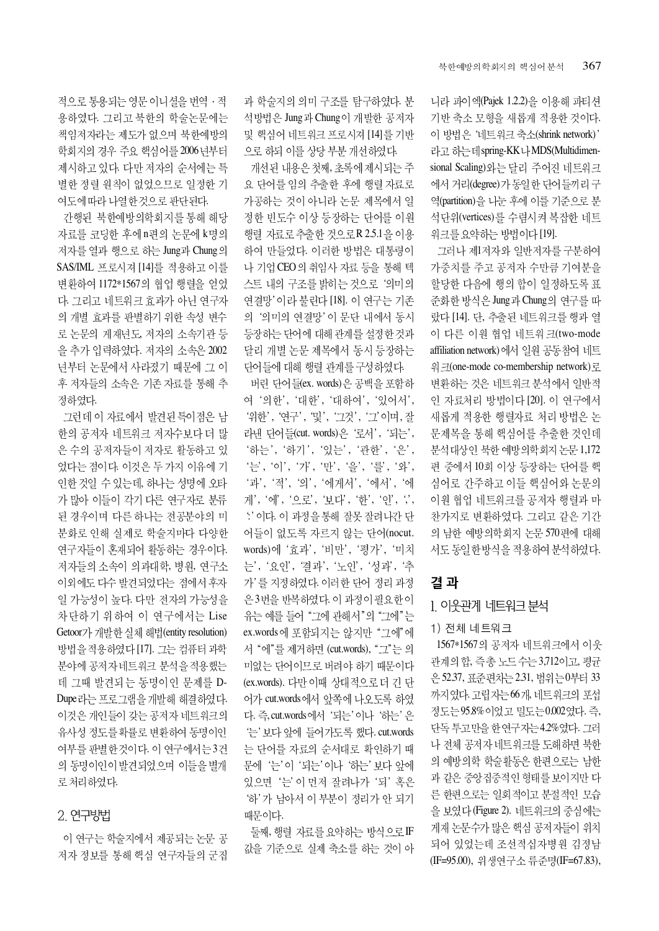니라 파이엑(Pajek 1.2.2)을 이용해 파티션 기반 축소 모형을 새롭게 적용한 것이다. 이 방법은 '네트워크 축소(shrink network)' 라고 하는데 spring-KK나 MDS(Multidimensional Scaling)와는 달리 주어진 네트워크 에서 거리(degree)가 동일한 단어들끼리구 역(partition)을 나눈 후에 이를 기준으로 분 석단위(vertices)를 수렴시켜 복잡한 네트 워크를 요약하는 방법이다 [19].

그러나 제1저자와 일반저자를 구분하여 가중치를 주고 공저자 수만큼 기여분을 할당한 다음에 행의 합이 일정하도록 표 준화한 방식은 Jung과 Chung의 연구를 따 랐다 [14]. 단, 추출된 네트워크를 행과 열 이 다른 이원 협업 네트워크(two-mode affiliation network)에서 일원 공동참여 네트 워크(one-mode co-membership network)로 변환하는 것은 네트워크 분석에서 일반적 인 자료처리 방법이다 [20]. 이 연구에서 새롭게 적용한 행렬자료 처리 방법은 논 문제목을 통해 핵심어를 추출한 것인데 분석대상인 북한 예방의학회지 논문 1,172 편 중에서 10회 이상 등장하는 단어를 핵 심어로 간주하고 이들 핵심어와 논문의 이원 협업 네트워크를 공저자 행렬과 마 찬가지로 변환하였다. 그리고 같은 기간 의 남한 예방의학회지 논문 570편에 대해 서도 동일한 방식을 적용하여 분석하였다.

## 결과

#### 1. 이웃관계 네트워크 분석

#### 1) 전체 네트워크

1567\*1567의 공저자 네트워크에서 이웃 관계의 합, 즉총 노드 수는 3,712이고, 평균 은 52.37, 표준편차는 2.31, 범위는 0 부터 33 까지였다. 고립자는 66개, 네트워크의 포섭 정도는 95.8% 이었고 밀도는 0.002였다. 즉, 단독 투고만을 한 연구자는 4.2%였다. 그러 나 전체 공저자 네트워크를 도해하면 북한 의 예방의학 학술활동은 한편으로는 남한 과 같은 중앙집중적인 형태를 보이지만 다 른 한편으로는 일회적이고 분절적인 모습 을 보였다 (Figure 2). 네트워크의 중심에는 게재 논문수가 많은 핵심 공저자들이 위치 되어 있었는데 조선적십자병원 김정남 (IF=95.00), 위생연구소 류준명(IF=67.83),

과 학술지의 의미 구조를 탐구하였다. 분 석방법은 Jung과 Chung이 개발한 공저자 및 핵심어 네트워크 프로시져 [14]를 기반 으로 하되 이를 상당 부분 개선하였다.

개선된 내용은 첫째, 초록에 제시되는 주 요 단어를 임의 추출한 후에 행렬 자료로 가공하는 것이 아니라 논문 제목에서 일 정한 빈도수 이상 등장하는 단어를 이원 행렬 자료로 추출한 것으로R 2.5.1을 이용 하여 만들었다. 이러한 방법은 대통령이 나 기업 CEO의 취임사 자료 등을 통해 텍 스트 내의 구조를 밝히는 것으로 '의미의 연결망'이라 불린다 [18]. 이 연구는 기존 의 '의미의 연결망' 이 문단 내에서 동시 등장하는 단어에 대해 관계를 설정한 것과 달리 개별 논문 제목에서 동시 등장하는 단어들에 대해 행렬 관계를 구성하였다.

버린 단어들(ex. words)은 공백을 포함하 여 '의한', '대한', '대하여', '있어서', '위한', '연구', '및', '그것', '그' 이며, 잘 라낸 단어들(cut. words)은 '로서', '되는', '하는', '하기', '있는', '과하', '은', '는', '이', '가', '만', '을', '를', '와', '과', '적', '의', '에게서', '에서', '에 게', '에', '으로', '보다', '한', '인', '', :' 이다. 이 과정을 통해 잘못 잘려나간 단 어들이 없도록 자르지 않는 단어(nocut. words)에 '효과', '비만', '평가', '미치 는', '요인', '결과', '노인', '성과', '추 가'를 지정하였다. 이러한 단어 정리 과정 은 3번을 반복하였다. 이 과정이 필요한 이 유는 예를 들어 "그에 관해서"의 "그에"는 ex.words에 포함되지는 않지만 "그에"에 서 "에"를 제거하면 (cut.words), "그"는 의 미없는 단어이므로 버려야 하기 때문이다 (ex.words). 다만 이때 상대적으로더 긴 단 어가 cut.words에서 앞쪽에 나오도록 하였 다. 즉, cut.words에서 '되는' 이나 '하는' 은 '는' 보다 앞에 들어가도록 했다. cut.words 는 단어를 자료의 순서대로 확인하기 때 문에 '는'이 '되는'이나 '하는' 보다 앞에 있으면 '는' 이 먼저 잘려나가 '되' 혹은 '하' 가 남아서 이 부분이 정리가 안 되기 때문이다.

둘째, 행렬 자료를 요약하는 방식으로 IF 값을 기준으로 실제 축소를 하는 것이 아

적으로 통용되는 영문 이니셜을 번역 · 적 용하였다. 그리고 북한의 학술논문에는 책임저자라는 제도가 없으며 북한예방의 학회지의 경우 주요 핵심어를 2006년부터 제시하고 있다. 다만 저자의 순서에는 특 별한 정렬 원칙이 없었으므로 일정한 기 여도에 따라 나열한 것으로 판단된다.

간행된 북한예방의학회지를 통해 해당 자료를 코딩한 후에 n편의 논문에 k명의 저자를 열과 행으로 하는 Jung과 Chung의 SAS/IML 프로시져 [14]를 적용하고 이를 변환하여 1172\*1567의 협업 행렬을 얻었 다. 그리고 네트워크 효과가 아닌 연구자 의 개별 효과를 판별하기 위한 속성 변수 로 논문의 게재년도, 저자의 소속기관 등 을 추가 입력하였다. 저자의 소속은 2002 년부터 논문에서 사라졌기 때문에 그 이 후 저자들의 소속은 기존 자료를 통해 추 정하였다.

그런데 이 자료에서 발견된특이점은 남 한의 공저자 네트워크 저자수보다 더 많 은 수의 공저자들이 저자로 활동하고 있 었다는 점이다. 이것은 두 가지 이유에 기 인한 것일 수 있는데, 하나는 성명에 오타 가 많아 이들이 각기 다른 연구자로 분류 된 경우이며 다른 하나는 전공분야의 미 분화로 인해 실제로 학술지마다 다양한 연구자들이 혼재되어 활동하는 경우이다. 저자들의 소속이 의과대학, 병원, 연구소 이외에도 다수 발견되었다는 점에서 후자 일 가능성이 높다. 다만 전자의 가능성을 차단하기 위하여 이 연구에서는 Lise Getoor가 개발한실체 해법(entity resolution) 방법을 적용하였다 [17]. 그는 컴퓨터 과학 분야에 공저자 네트워크 분석을 적용했는 데 그때 발견되는 동명이인 문제를 D-Dupe 라는 프로그램을 개발해 해결하였다. 이것은 개인들이 갖는 공저자 네트워크의 유사성 정도를 확률로 변환하여 동명이인 여부를 판별한 것이다. 이 연구에서는 3건 의 동명이인이 발견되었으며 이들을 별개 로 처리하였다.

## 2. 연구방법

이 연구는 학술지에서 제공되는 논문 공 저자 정보를 통해 핵심 연구자들의 군집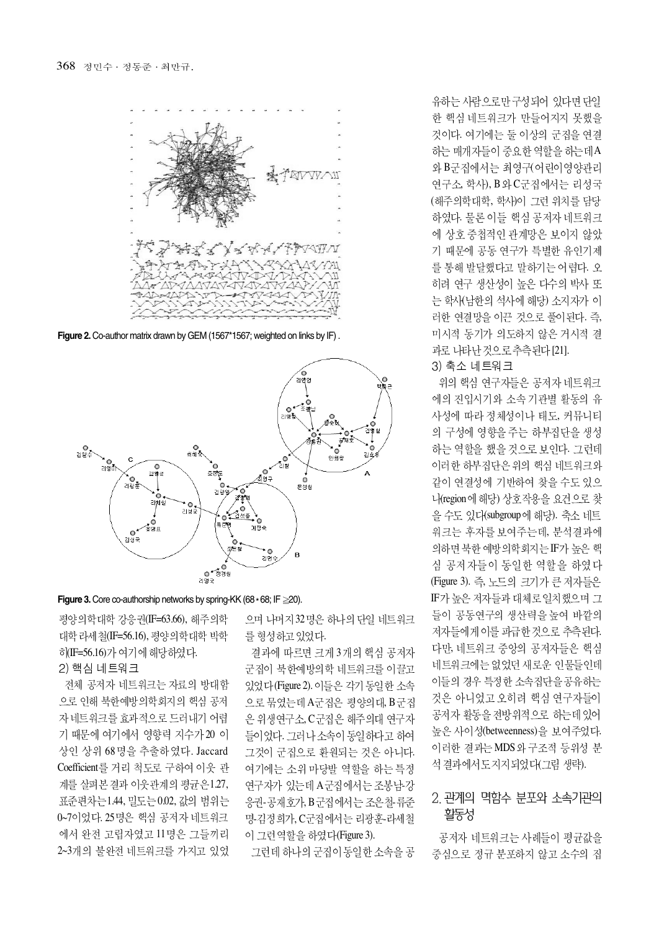

**Figure 2.** Co-author matrix drawn by GEM (1567\*1567; weighted on links by IF) .



#### **Figure 3.** Core co-authorship networks by spring-KK (68 ∗68; IF ≧20).

평양의학대학 강응권(IF=63.66), 해주의학 대학 라세철(IF=56.16), 평양의학대학 박학 히(IF=56.16)가 여기에 해당하였다.

#### 2) 핵심 네트워크

전체 공저자 네트워크는 자료의 방대함 으로 이해 북한예방의학회지의 핵심 공저 자네트워크를 효과적으로 드러내기 어렵 기 때문에 여기에서 영향력 지수가 20 이 상인 상위 68명을 추출하였다. Jaccard Coefficient를 거리 척도로 구하여 이웃 관 계를 살펴본 결과 이웃관계의 평균은 1.27, 표준편차는1.44, 밀도는0.02, 값의 범위는 0~7이었다. 25명은 핵심 공저자 네트워크 에서 완전 고립자였고 11명은 그들끼리 2~3개의 불완전 네트워크를 가지고 있었 으며 나머지 32명은 하나의 단일 네트워크 를 형성하고 있었다.

결과에 따르면 크게 3개의 핵심 공저자 군집이 북한예방의학 네트워크를 이끌고 있었다 (Figure 2). 이들은 각기 동일한 소속 으로 묶였는데 A군집은 평양의대, B군집 은 위생연구소, C군집은 해주의대 연구자 들이었다. 그러나 소속이 동일하다고 하여 그것이 군집으로 환원되는 것은 아니다. 여기에는 소위 마당발 역할을 하는 특정 여구자가 있는데 A 구집에서는 조봉남-강 응권-공재호가, B 군집에서는 조은 철 류준 명-김정희가, C군집에서는 리광훈-라세철 이 그런 역할을 하였다(Figure 3).

그런데 하나의 군집이 동일한 소속을 공

유하는 사람으로만 구성되어 있다면 단일 한 핵심 네트워크가 만들어지지 못했을 것이다. 여기에는 둘 이상의 군집을 연결 하는 매개지들이 중요한 역할을 하는데A 와 B군집에서는 최영구(어린이영양관리 연구소, 학사), B 와 C군집에서는 리성국 (해주의학대학, 학사)이 그런 위치를 담당 하였다. 물론 이들 핵심 공저자 네트워크 에 상호 중첩적인 관계망은 보이지 않았 기 때문에 공동 연구가 특별한 유인기제 를 통해 발달했다고 말하기는 어렵다. 오 히려 연구 생산성이 높은 다수의 박사 또 는 학사(남한의 석사에 해당) 소지자가 이 러한 연결망을 이끈 것으로 풀이된다. 즉, 미시적 동기가 의도하지 않은 거시적 결 과로 나타난 것으로 추측된다 [21].

#### 3) 축소 네트워크

위의 핵심 연구자들은 공저자 네트워크 에의 진입시기와 소속 기관별 활동의 유 사성에 따라 정체성이나 태도, 커뮤니티 의 구성에 영향을 주는 하부집단을 생성 하는 역할을 했을 것으로 보인다. 그런데 이러한 하부집단은 위의 핵심 네트워크와 같이 연결성에 기반하여 찾을 수도 있으 나(region 에 해당) 상호작용을 요건으로 찾 을 수도 있다(subgroup에 해당). 축소 네트 워크는 후자를 보여주는데, 분석결과에 의하면 북한 예방의학회지는 IF가 높은 핵 심 공저자들이 동일한 역할을 하였다 (Figure 3). 즉, 노드의 크기가 큰 저자들은 IF가 높은 저자들과 대체로 일치했으며 그 들이 공동연구의 생산력을 높여 바깥의 저자들에게 이를 파급한 것으로 추측된다. 다만, 네트워크 중앙의 공저자들은 핵심 네트워크에는 없었던 새로운 인물들인데 이들의 경우 특정한 소속집단을 공유하는 것은 아니었고 오히려 핵심 연구자들이 공저자 활동을 전방위적으로 하는데 있어 높은 사이성(betweenness)을 보여주었다. 이러한 결과는 MDS 와 구조적 등위성 분 석결과에서도 지지되었다(그림 생략).

## 2 관계의 멱함수 부포와 소속기관의 활동성

공저자 네트워크는 사례들이 평균값을 중심으로 정규 분포하지 않고 소수의 집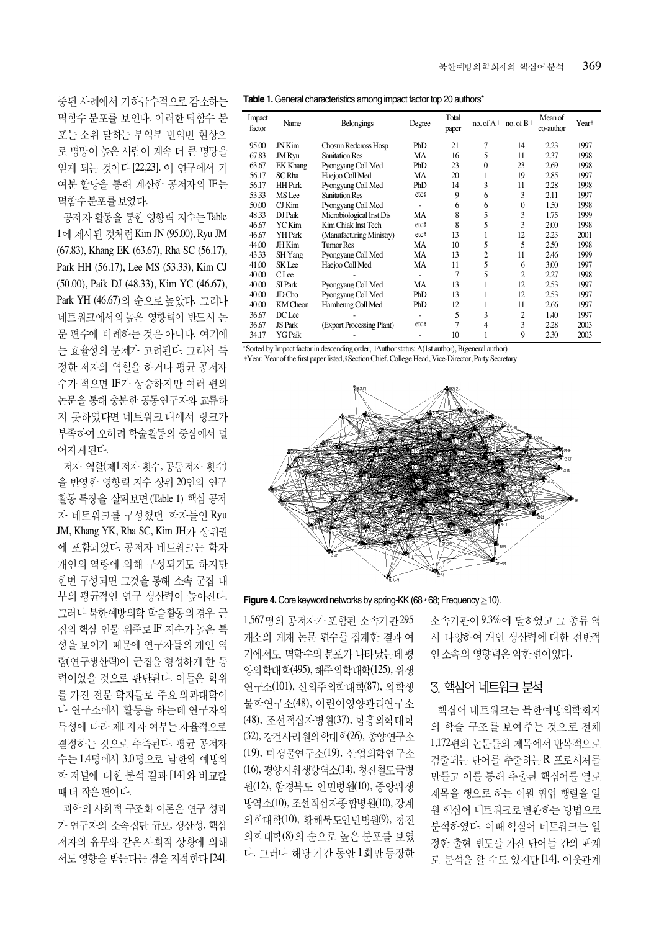중된 사례에서 기하급수적으로 감소하는 멱함수 분포를 보인다. 이러한 멱함수 분 포는 소위 말하는 부익부 빈익빈 현상으 로 명망이 높은 사람이 계속 더 큰 명망을 얻게 되는 것이다 [22,23]. 이 연구에서 기 여분 할당을 통해 계산한 공저자의 IF는 멱함수분포를 보였다.

공저자 활동을 통한 영향력 지수는 Table 1에 제시된 것처럼 Kim JN (95.00), Ryu JM (67.83), Khang EK (63.67), Rha SC (56.17), Park HH (56.17), Lee MS (53.33), Kim CJ (50.00), Paik DJ (48.33), Kim YC (46.67), Park YH (46.67)의 순으로 높았다. 그러나 네트워크에서의 높은 영향력이 반드시 논 문 편수에 비례하는 것은 아니다. 여기에 는 효율성의 문제가 고려된다. 그래서 특 정한 저자의 역할을 하거나 평균 공저자 수가 적으면 IF가 상승하지만 여러 편의 논문을 통해 충분한 공동연구자와 교류하 지 못하였다면 네트워크 내에서 링크가 부족하여 오히려 학술활동의 중심에서 멀 어지게 된다.

저자 역할(제1저자 횟수, 공동저자 횟수) 을 반영한 영향력 지수 상위 20인의 연구 활동 특징을 살펴보면 (Table 1) 핵심 공저 자 네트워크를 구성했던 학자들인 Ryu JM, Khang YK, Rha SC, Kim JH가 상위권 에 포함되었다. 공저자 네트워크는 학자 개인의 역량에 의해 구성되기도 하지만 한번 구성되면 그것을 통해 소속 군집 내 부의 평균적인 연구 생산력이 높아진다. 그러나 북한예방의학 학술활동의 경우 군 집의 핵심 인물 위주로 IF 지수가 높은 특 성을 보이기 때문에 연구자들의 개인 역 령(연구생산력)이 군집을 형성하게 한 동 력이었을 것으로 판단된다. 이들은 학위 를 가진 전문 학자들로 주요 의과대학이 나 연구소에서 활동을 하는데 연구자의 특성에 따라 제1 저자 여부는 자율적으로 결정하는 것으로 추측된다. 평균 공저자 수는 1.4명에서 3.0명으로 남한의 예방의 학 저널에 대한 분석 결과 [14] 와 비교할 때더 작은 편이다.

과학의 사회적 구조화 이론은 연구 성과 가 연구자의 소속집단 규모, 생산성, 핵심 저자의 유무와 같은 사회적 상황에 의해 서도 영향을 받는다는 점을 지적한다 [24].

| Impact<br>factor | Name              | <b>Belongings</b>         | Degree           | Total<br>paper | no. of $A^+$ | no. of $B^+$ | Mean of<br>co-author | Year <sup>+</sup> |
|------------------|-------------------|---------------------------|------------------|----------------|--------------|--------------|----------------------|-------------------|
| 95.00            | JN Kim            | Chosun Redcross Hosp      | PhD              | 21             | 7            | 14           | 2.23                 | 1997              |
| 67.83            | <b>JM</b> Ryu     | <b>Sanitation Res</b>     | MA               | 16             | 5            | 11           | 2.37                 | 1998              |
| 63.67            | <b>EK Khang</b>   | Pyongyang Coll Med        | PhD              | 23             | $\theta$     | 23           | 2.69                 | 1998              |
| 56.17            | SC Rha            | Haejoo Coll Med           | MA               | 20             | 1            | 19           | 2.85                 | 1997              |
| 56.17            | <b>HH</b> Park    | Pyongyang Coll Med        | PhD              | 14             | 3            | 11           | 2.28                 | 1998              |
| 53.33            | MS Lee            | <b>Sanitation Res</b>     | etcs             | 9              | 6            | 3            | 2.11                 | 1997              |
| 50.00            | $CI$ Kim          | Pyongyang Coll Med        |                  | 6              | 6            | $\theta$     | 1.50                 | 1998              |
| 48.33            | DJ Paik           | Microbiological Inst Dis  | MA               | 8              | 5            | 3            | 1.75                 | 1999              |
| 46.67            | YC Kim            | Kim Chiak Inst Tech       | etcs             | 8              | 5            | 3            | 2.00                 | 1998              |
| 46.67            | YH Park           | (Manufacturing Ministry)  | etcs             | 13             | 1            | 12           | 2.23                 | 2001              |
| 44.00            | JH Kim            | <b>Tumor Res</b>          | MA               | 10             | 5            | 5            | 2.50                 | 1998              |
| 43.33            | SH Yang           | Pyongyang Coll Med        | MA               | 13             | 2            | 11           | 2.46                 | 1999              |
| 41.00            | SK Lee            | Haejoo Coll Med           | MA               | 11             | 5            | 6            | 3.00                 | 1997              |
| 40.00            | <b>CLee</b>       |                           |                  | 7              | 5            | 2            | 2.27                 | 1998              |
| 40.00            | SI Park           | Pyongyang Coll Med        | MA               | 13             | 1            | 12           | 2.53                 | 1997              |
| 40.00            | JD <sub>Cho</sub> | Pyongyang Coll Med        | PhD              | 13             | 1            | 12           | 2.53                 | 1997              |
| 40.00            | KM Cheon          | Hamheung Coll Med         | PhD              | 12             | 1            | 11           | 2.66                 | 1997              |
| 36.67            | DC Lee            |                           |                  | 5              | 3            | 2            | 1.40                 | 1997              |
| 36.67            | JS Park           | (Export Processing Plant) | etc <sub>8</sub> | 7              | 4            | 3            | 2.28                 | 2003              |
| 34.17            | YG Paik           |                           |                  | 10             |              | 9            | 2.30                 | 2003              |

\* Sorted by Impact factor in descending order, + Author status: A(1st author), B(general author)

Year: Year of the first paper listed, Section Chief, College Head, Vice-Director, Party Secretary



**Figure 4.** Core keyword networks by spring-KK (68 ∗68; Frequency ≥10).

1,567명의 공저자가 포함된 소속기관 295 개소의 게재 논문 편수를 집계한 결과 여 기에서도 멱함수의 분포가 나타났는데평 양의 학대 학(495), 해주의학대학(125), 위생 연구소(101), 신의주의학대학(87), 의학생 물학연구소(48), 어린이영양관리연구소 (48), 조선적십자병원(37), 함흥의학대학 (32), 강건사리 원의 학대 학(26), 종양연구소 (19), 미생물연구소(19), 산업의학연구소 (16), 평양시위생방역소(14), 청진철도국병 원(12), 함경북도 인민병원(10), 중앙위생 방역소(10), 조선적십자종합병원(10), 강계 의학대학(10), 황해북도인민병원(9), 청진 의학대학(8)의 순으로 높은 분포를 보였 다. 그러나 해당 기간 동안 1회만 등장한

소속기관이 9.3%에 달하였고 그 종류 역 시 다양하여 개인 생산력에 대한 전반적 인 소속의 영향력은 약한 편이었다.

## 3. 핵심어 네트워크 분석

핵심어 네트워크는 북한예방의학회지 의 학술 구조를 보여주는 것으로 전체 1,172편의 논문들의 제목에서 반복적으로 검출되는 단어를 추출하는 R 프로시져를 만들고 이를 통해 추출된 핵심어를 열로 제목을 행으로 하는 이원 협업 행렬을 일 원 핵심어 네트워크로 변환하는 방법으로 분석하였다. 이때 핵심어 네트워크는 일 정한 출현 빈도를 가진 단어들 간의 관계 로 분석을 할 수도 있지만 [14], 이웃관계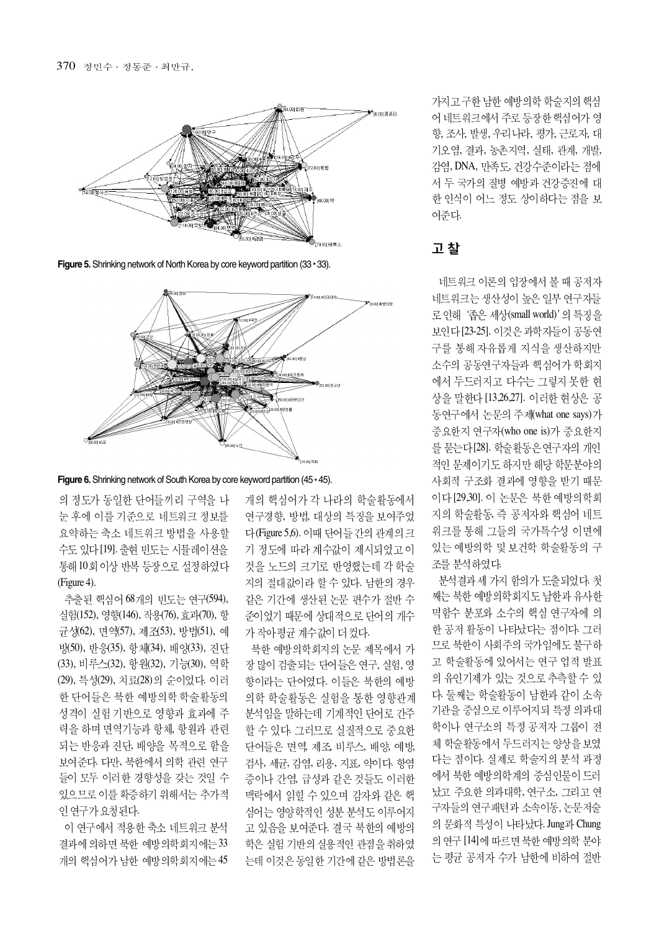

**Figure 5.** Shrinking network of North Korea by core keyword partition (33  $*$  33).



**Figure 6.** Shrinking network of South Korea by core keyword partition (45  $*$  45).

의 정도가 동일한 단어들끼리 구역을 나 눈 후에 이를 기준으로 네트워크 정보를 요약하는 축소 네트워크 방법을 사용할 수도 있다 [19]. 출현 빈도는 시뮬레이션을 통해 10회 이상 반복 등장으로 설정하였다 (Figure 4).

추출된 핵심어 68개의 빈도는 연구(594), 실험(152), 영향(146), 작용(76), 효과(70), 항 균성(62), 면역(57), 제조(53), 방법(51), 예 방(50), 반응(35), 항체(34), 배양(33), 진단 (33), 비루스(32), 항원(32), 기능(30), 역학 (29), 특성(29), 치료(28)의 순이었다. 이러 한 단어들은 북한 예방의학 학술활동의 성격이 실험 기반으로 영향과 효과에 주 력을 하며 면역기능과 항체, 항원과 관련 되는 반응과 진단, 배양을 목적으로 함을 보여준다. 다만, 북한에서 의학 관련 연구 들이 모두 이러한 경향성을 갖는 것일 수 있으므로 이를 확증하기 위해서는 추가적 인 연구가 요청된다.

이 연구에서 적용한 축소 네트워크 분석 결과에 의하면 북한 예방의학회지에는 33 개의 핵심어가 남한 예방의학회지에는 45 개의 핵심어가 각 나라의 학술활동에서 연구경향, 방법, 대상의 특징을 보여주었 다(Figure 5,6). 이때 단어들 간의 관계의 크 기 정도에 따라 계수값이 제시되었고 이 것을 노드의 크기로 반영했는데 각 학술 지의 절대값이라 할 수 있다. 남한의 경우 같은 기간에 생산된 논문 편수가 절반 수 준이었기 때문에 상대적으로 단어의 개수 가 작아 평균 계수값이 더 컸다.

북한 예방의학회지의 논문 제목에서 가 장 많이 검출되는 단어들은 연구, 실험, 영 향이라는 단어였다. 이들은 북한의 예방 의학 학술활동은 실험을 통한 영향관계 분석임을 말하는데 기계적인 단어로 간주 할 수 있다. 그러므로 실질적으로 중요한 단어들은 면역, 제조, 비루스, 배양, 예방, 검사, 세규, 감염, 리용, 지표, 약이다. 항염 증이나 간염, 급성과 같은 것들도 이러한 맥락에서 읽힐 수 있으며 감자와 같은 핵 심어는 영양학적인 성분 분석도 이루어지 고 있음을 보여준다. 결국 북한의 예방의 학은 실험 기반의 실용적인 관점을 취하였 는데 이것은 동일한 기간에 같은 방법론을

가지고 구한 남한 예방의학 학술지의 핵심 어 네트워크에서 주로 등장한 핵심어가 영 향, 조사, 발생, 우리나라, 평가, 근로자, 대 기오염, 결과, 농촌지역, 실태, 관계, 개발, 감염, DNA, 만족도, 건강수준이라는 점에 서 두 국가의 질병 예방과 건강증진에 대 한 인식이 어느 정도 상이하다는 점을 보 여주다.

#### 고 찰

네트워크 이론의 입장에서 볼 때 공저자 네트워크는 생산성이 높은 일부 연구자들 로인해 '좁은 세상(small world)' 의 특징을 보인다 [23-25]. 이것은 과학자들이 공동여 구를 통해 자유롭게 지식을 생산하지만 소수의 공동연구자들과 핵심어가 학회지 에서 두드러지고 다수는 그렇지 못한 현 상을 말한다 [13,26,27]. 이러한 현상은 공 동연구에서 논문의 주제(what one says)가 중요한지 연구자(who one is)가 중요한지 를 묻는다[28]. 학술활동은 연구자의 개인 적인 문제이기도 하지만 해당 학문분야의 사회적 구조화 결과에 영향을 받기 때문 이다 [29,30]. 이 논문은 북한 예방의학회 지의 학술활동, 즉 공저자와 핵심어 네트 워크를 통해 그들의 국가특수성 이면에 있는 예방의학 및 보건학 학술활동의 구 조를 분석하였다.

분석결과 세 가지 함의가 도출되었다. 첫 째는 북한 예방의학회지도 남한과 유사한 멱함수 분포와 소수의 핵심 연구자에 의 한 공저 활동이 나타났다는 점이다. 그러 므로 북한이 사회주의 국가임에도 불구하 고 학술활동에 있어서는 연구 업적 발표 의 유인기제가 있는 것으로 추측할 수 있 다. 둘째는 학술활동이 남한과 같이 소속 기관을 중심으로 이루어지되 특정 의과대 학이나 연구소의 특정 공저자 그룹이 전 체 학술활동에서 두드러지는 양상을 보였 다는 점이다. 실제로 학술지의 분석 과정 에서 북한 예방의학계의 중심인물이 드러 났고 주요한 의과대학, 연구소, 그리고 연 구자들의 연구패턴과 소속이동, 논문저술 의 문화적 특성이 나타났다. Jung과 Chung 의 연구 [14]에 따르면 북한 예방의학 분야 는 평균 공저자 수가 남한에 비하여 절반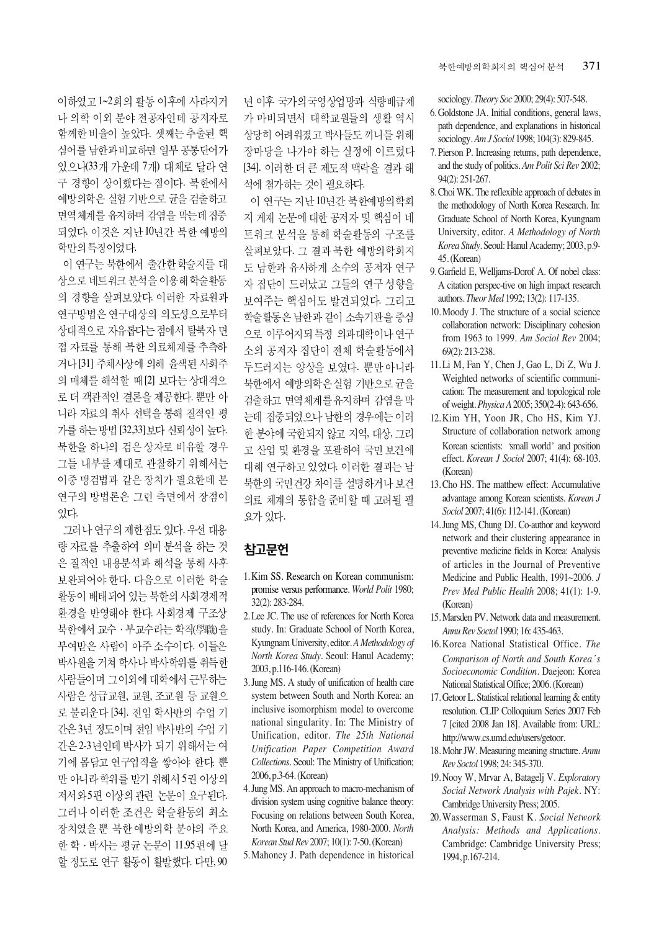이하였고 1~2회의 활동 이후에 사라지거 나 의학 이외 분야 전공자인데 공저자로 함께한 비율이 높았다. 셋째는 추출된 핵 심어를 남한과 비교하면 일부 공통단어가 있으나(33개 가운데 7개) 대체로 달라 연 구 경향이 상이했다는 점이다. 북한에서 예방의학은 실험 기반으로 균을 검출하고 면역체계를 유지하며 감염을 막는데 집중 되었다. 이것은 지난 10년간 북한 예방의 학만의 특징이었다.

이 연구는 북한에서 출간한 학술지를 대 상으로 네트워크 분석을 이용해 학술활동 의 경향을 살펴보았다. 이러한 자료원과 연구방법은 연구대상의 의도성으로부터 상대적으로 자유롭다는 점에서 탈북자 면 접 자료를 통해 북한 의료체계를 추측하 거나 [31] 주체사상에 의해 윤색된 사회주 의 매체를 해석할 때 [2] 보다는 상대적으 로 더 객관적인 결론을 제공한다. 뿐만 아 니라 자료의 취사 선택을 통해 질적인 평 가를 하는 방법 [32,33] 보다 신뢰성이 높다. 북한을 하나의 검은 상자로 비유할 경우 그들 내부를 제대로 관찰하기 위해서는 이중 맹검법과 같은 장치가 필요한데 본 연구의 방법론은 그런 측면에서 장점이 있다.

그러나 연구의 제한점도 있다. 우선 대용 량 자료를 추출하여 의미 분석을 하는 것 은 질적인 내용분석과 해석을 통해 사후 보완되어야 한다. 다음으로 이러한 학술 활동이 배태되어 있는 북한의 사회경제적 환경을 반영해야 한다. 사회경제 구조상 북한에서 교수 · 부교수라는 학직(學職)을 부여받은 사람이 아주 소수이다. 이들은 박사원을 거쳐 학사나 박사학위를 취득한 사람들이며 그이외에 대학에서 근무하는 사람은 상급교원, 교원, 조교원 등 교원으 로 불리운다 [34]. 전임 학사반의 수업 기 간은 3년 정도이며 전임 박사반의 수업 기 간은 2-3년인데 박사가 되기 위해서는 여 기에 몸담고 연구업적을 쌓아야 한다. 뿐 만 아니라 학위를 받기 위해서 5권 이상의 저서와5편 이상의 관련 논문이 요구된다. 그러나 이러한 조건은 학술활동의 최소 장치였을 뿐 북한 예방의학 분야의 주요 한 학 · 박사는 평균 논문이 11.95 편에 달 할 정도로 연구 활동이 활발했다. 다만, 90 년 이후 국가의 국영상업망과 식량배급제 가 마비되면서 대학교워들의 생활 역시 상당히 어려워졌고 박사들도 끼니를 위해 장마당을 나가야 하는 실정에 이르렀다 [34]. 이러한 더 큰 제도적 맥락을 결과 해 석에 첨가하는 것이 필요하다.

이 연구는 지난 10년간 북한예방의학회 지 게재 논문에 대한 공저자 및 핵심어 네 트워크 분석을 통해 학술활동의 구조를 살펴보았다. 그 결과 북한 예방의학회지 도 남한과 유사하게 소수의 공저자 연구 자 집단이 드러났고 그들의 연구 성향을 보여주는 핵심어도 발견되었다. 그리고 학술활동은 남한과 같이 소속기관을 중심 으로 이루어지되 특정 의과대학이나 연구 소의 공저자 집단이 전체 학술활동에서 두드러지는 양상을 보였다. 뿐만 아니라 북한에서 예방의학은실험 기반으로 균을 검출하고 면역체계를 유지하며 감염을 막 는데 집중되었으나 남한의 경우에는 이러 한 분야에 국한되지 않고 지역, 대상, 그리 고 산업 및 화경을 포괄하여 국민 보건에 대해 연구하고 있었다. 이러한 결과는 남 북한의 국민건강 차이를 설명하거나 보건 의료 체계의 통합을 준비할 때 고려될 필 요가 있다.

# 착고문헌

- 1. Kim SS. Research on Korean communism: promise versus performance. *World Polit* 1980; 32(2): 283-284.
- 2. Lee JC. The use of references for North Korea study. In: Graduate School of North Korea, Kyungnam University, editor. *A Methodology of North Korea Study*. Seoul: Hanul Academy; 2003, p.116-146. (Korean)
- 3. Jung MS. A study of unification of health care system between South and North Korea: an inclusive isomorphism model to overcome national singularity. In: The Ministry of Unification, editor. *The 25th National Unification Paper Competition Award Collections.* Seoul: The Ministry of Unification; 2006, p.3-64. (Korean)
- 4. Jung MS. An approach to macro-mechanism of division system using cognitive balance theory: Focusing on relations between South Korea, North Korea, and America, 1980-2000. *North Korean Stud Rev* 2007; 10(1): 7-50. (Korean)
- 5. Mahoney J. Path dependence in historical

sociology. *Theory Soc* 2000; 29(4): 507-548.

371

- 6. Goldstone JA. Initial conditions, general laws, path dependence, and explanations in historical sociology. *Am J Sociol* 1998; 104(3): 829-845.
- 7. Pierson P. Increasing returns, path dependence, and the study of politics. *Am Polit Sci Rev* 2002; 94(2): 251-267.
- 8. Choi WK. The reflexible approach of debates in the methodology of North Korea Research. In: Graduate School of North Korea, Kyungnam University, editor. *A Methodology of North Korea Study*. Seoul: Hanul Academy; 2003, p.9- 45. (Korean)
- 9. Garfield E, Welljams-Dorof A. Of nobel class: A citation perspec-tive on high impact research authors. *Theor Med* 1992; 13(2): 117-135.
- 10. Moody J. The structure of a social science collaboration network: Disciplinary cohesion from 1963 to 1999. *Am Sociol Rev* 2004; 69(2): 213-238.
- 11. Li M, Fan Y, Chen J, Gao L, Di Z, Wu J. Weighted networks of scientific communication: The measurement and topological role of weight. *Physica A*2005; 350(2-4): 643-656.
- 12. Kim YH, Yoon JR, Cho HS, Kim YJ. Structure of collaboration network among Korean scientists: 'small world' and position effect. *Korean J Sociol* 2007; 41(4): 68-103. (Korean)
- 13. Cho HS. The matthew effect: Accumulative advantage among Korean scientists. *Korean J Sociol* 2007; 41(6): 112-141. (Korean)
- 14. Jung MS, Chung DJ. Co-author and keyword network and their clustering appearance in preventive medicine fields in Korea: Analysis of articles in the Journal of Preventive Medicine and Public Health, 1991~2006. *J Prev Med Public Health* 2008; 41(1): 1-9. (Korean)
- 15. Marsden PV. Network data and measurement. *Annu Rev Soctol* 1990; 16: 435-463.
- 16. Korea National Statistical Office. *The Comparison of North and South Korea s Socioeconomic Condition*. Daejeon: Korea National Statistical Office; 2006. (Korean)
- 17. Getoor L. Statistical relational learning & entity resolution. CLIP Colloquium Series 2007 Feb 7 [cited 2008 Jan 18]. Available from: URL: http://www.cs.umd.edu/users/getoor.
- 18. Mohr JW. Measuring meaning structure. *Annu Rev Soctol* 1998; 24: 345-370.
- 19. Nooy W, Mrvar A, Batagelj V. *Exploratory Social Network Analysis with Pajek*. NY: Cambridge University Press; 2005.
- 20. Wasserman S, Faust K. *Social Network Analysis: Methods and Applications.* Cambridge: Cambridge University Press; 1994, p.167-214.